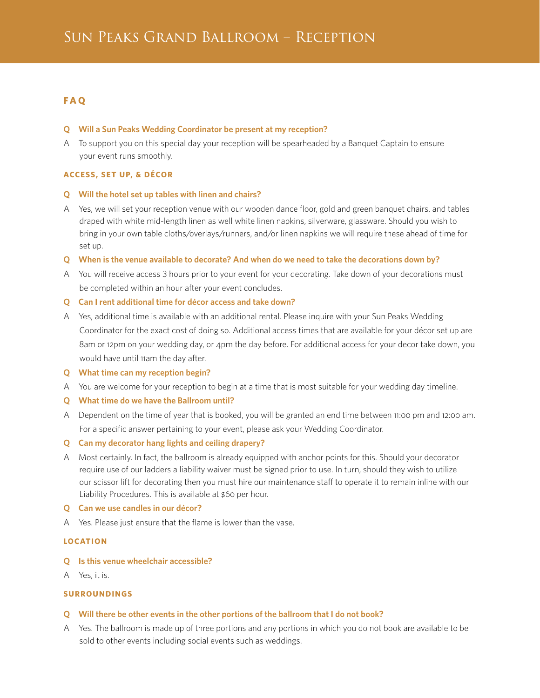# **F A Q**

### **Q Will a Sun Peaks Wedding Coordinator be present at my reception?**

A To support you on this special day your reception will be spearheaded by a Banquet Captain to ensure your event runs smoothly.

## **ACCESS, SET UP, & DÉCOR**

### **Q Will the hotel set up tables with linen and chairs?**

A Yes, we will set your reception venue with our wooden dance floor, gold and green banquet chairs, and tables draped with white mid-length linen as well white linen napkins, silverware, glassware. Should you wish to bring in your own table cloths/overlays/runners, and/or linen napkins we will require these ahead of time for set up.

### **Q When is the venue available to decorate? And when do we need to take the decorations down by?**

- A You will receive access 3 hours prior to your event for your decorating. Take down of your decorations must be completed within an hour after your event concludes.
- **Q Can I rent additional time for décor access and take down?**
- A Yes, additional time is available with an additional rental. Please inquire with your Sun Peaks Wedding Coordinator for the exact cost of doing so. Additional access times that are available for your décor set up are 8am or 12pm on your wedding day, or 4pm the day before. For additional access for your decor take down, you would have until 11am the day after.
- **Q What time can my reception begin?**
- A You are welcome for your reception to begin at a time that is most suitable for your wedding day timeline.
- **Q What time do we have the Ballroom until?**
- A Dependent on the time of year that is booked, you will be granted an end time between 11:00 pm and 12:00 am. For a specific answer pertaining to your event, please ask your Wedding Coordinator.
- **Q Can my decorator hang lights and ceiling drapery?**
- A Most certainly. In fact, the ballroom is already equipped with anchor points for this. Should your decorator require use of our ladders a liability waiver must be signed prior to use. In turn, should they wish to utilize our scissor lift for decorating then you must hire our maintenance staff to operate it to remain inline with our Liability Procedures. This is available at \$60 per hour.
- **Q Can we use candles in our décor?**
- A Yes. Please just ensure that the flame is lower than the vase.

## **LOCATION**

- **Q Is this venue wheelchair accessible?**
- A Yes, it is.

## **SURROUNDINGS**

- **Q Will there be other events in the other portions of the ballroom that I do not book?**
- A Yes. The ballroom is made up of three portions and any portions in which you do not book are available to be sold to other events including social events such as weddings.